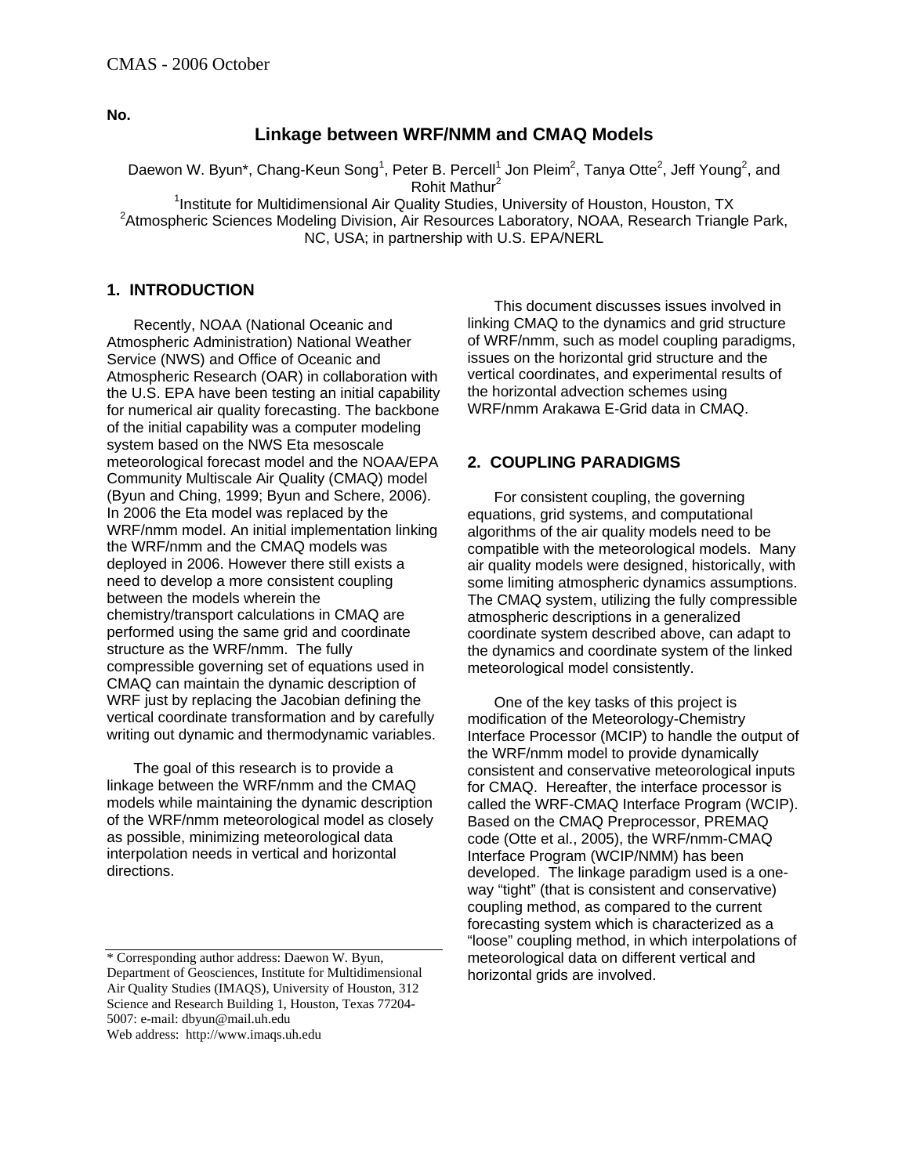**No.** 

### **Linkage between WRF/NMM and CMAQ Models**

Daewon W. Byun\*, Chang-Keun Song<sup>1</sup>, Peter B. Percell<sup>1</sup> Jon Pleim<sup>2</sup>, Tanya Otte<sup>2</sup>, Jeff Young<sup>2</sup>, and Rohit Mathur<sup>2</sup>

<sup>1</sup>Institute for Multidimensional Air Quality Studies, University of Houston, Houston, TX<br><sup>2</sup>Atmespheric Sciences Modeling Division, Air Reservess Leberston, NOAA, Reserved Trippe <sup>2</sup> Atmospheric Sciences Modeling Division, Air Resources Laboratory, NOAA, Research Triangle Park, NC, USA; in partnership with U.S. EPA/NERL

#### **1. INTRODUCTION**

Recently, NOAA (National Oceanic and Atmospheric Administration) National Weather Service (NWS) and Office of Oceanic and Atmospheric Research (OAR) in collaboration with the U.S. EPA have been testing an initial capability for numerical air quality forecasting. The backbone of the initial capability was a computer modeling system based on the NWS Eta mesoscale meteorological forecast model and the NOAA/EPA Community Multiscale Air Quality (CMAQ) model (Byun and Ching, 1999; Byun and Schere, 2006). In 2006 the Eta model was replaced by the WRF/nmm model. An initial implementation linking the WRF/nmm and the CMAQ models was deployed in 2006. However there still exists a need to develop a more consistent coupling between the models wherein the chemistry/transport calculations in CMAQ are performed using the same grid and coordinate structure as the WRF/nmm. The fully compressible governing set of equations used in CMAQ can maintain the dynamic description of WRF just by replacing the Jacobian defining the vertical coordinate transformation and by carefully writing out dynamic and thermodynamic variables.

The goal of this research is to provide a linkage between the WRF/nmm and the CMAQ models while maintaining the dynamic description of the WRF/nmm meteorological model as closely as possible, minimizing meteorological data interpolation needs in vertical and horizontal directions.

Web address: http://www.imaqs.uh.edu

This document discusses issues involved in linking CMAQ to the dynamics and grid structure of WRF/nmm, such as model coupling paradigms, issues on the horizontal grid structure and the vertical coordinates, and experimental results of the horizontal advection schemes using WRF/nmm Arakawa E-Grid data in CMAQ.

#### **2. COUPLING PARADIGMS**

For consistent coupling, the governing equations, grid systems, and computational algorithms of the air quality models need to be compatible with the meteorological models. Many air quality models were designed, historically, with some limiting atmospheric dynamics assumptions. The CMAQ system, utilizing the fully compressible atmospheric descriptions in a generalized coordinate system described above, can adapt to the dynamics and coordinate system of the linked meteorological model consistently.

One of the key tasks of this project is modification of the Meteorology-Chemistry Interface Processor (MCIP) to handle the output of the WRF/nmm model to provide dynamically consistent and conservative meteorological inputs for CMAQ. Hereafter, the interface processor is called the WRF-CMAQ Interface Program (WCIP). Based on the CMAQ Preprocessor, PREMAQ code (Otte et al., 2005), the WRF/nmm-CMAQ Interface Program (WCIP/NMM) has been developed. The linkage paradigm used is a oneway "tight" (that is consistent and conservative) coupling method, as compared to the current forecasting system which is characterized as a "loose" coupling method, in which interpolations of meteorological data on different vertical and horizontal grids are involved.

<sup>\*</sup> Corresponding author address: Daewon W. Byun, Department of Geosciences, Institute for Multidimensional Air Quality Studies (IMAQS), University of Houston, 312 Science and Research Building 1, Houston, Texas 77204- 5007: e-mail: dbyun@mail.uh.edu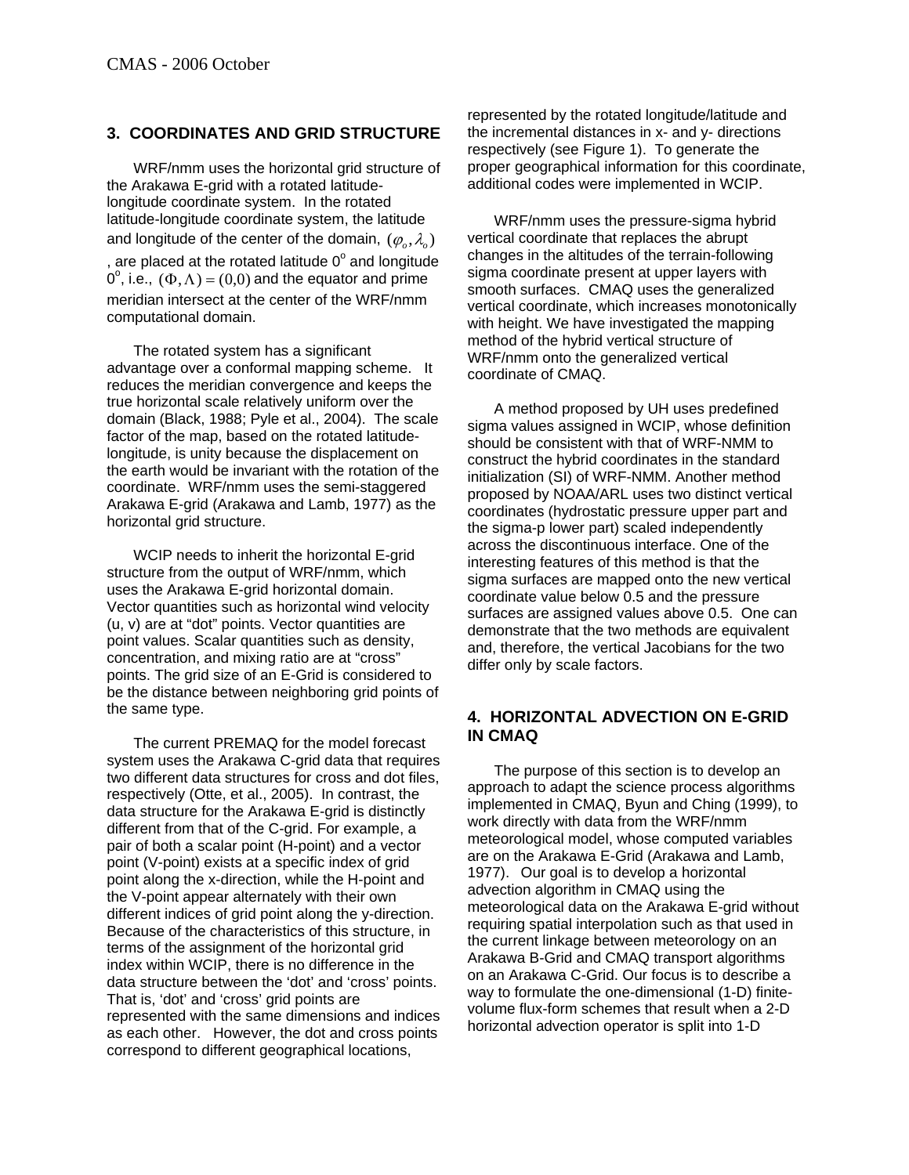### **3. COORDINATES AND GRID STRUCTURE**

WRF/nmm uses the horizontal grid structure of the Arakawa E-grid with a rotated latitudelongitude coordinate system. In the rotated latitude-longitude coordinate system, the latitude and longitude of the center of the domain,  $(\varphi_{\scriptscriptstyle \alpha}, \lambda_{\scriptscriptstyle \alpha})$ , are placed at the rotated latitude  $0^{\circ}$  and longitude  $0^{\circ}$ , i.e.,  $(\Phi, \Lambda) = (0,0)$  and the equator and prime meridian intersect at the center of the WRF/nmm computational domain.

The rotated system has a significant advantage over a conformal mapping scheme. It reduces the meridian convergence and keeps the true horizontal scale relatively uniform over the domain (Black, 1988; Pyle et al., 2004). The scale factor of the map, based on the rotated latitudelongitude, is unity because the displacement on the earth would be invariant with the rotation of the coordinate. WRF/nmm uses the semi-staggered Arakawa E-grid (Arakawa and Lamb, 1977) as the horizontal grid structure.

WCIP needs to inherit the horizontal E-grid structure from the output of WRF/nmm, which uses the Arakawa E-grid horizontal domain. Vector quantities such as horizontal wind velocity (u, v) are at "dot" points. Vector quantities are point values. Scalar quantities such as density, concentration, and mixing ratio are at "cross" points. The grid size of an E-Grid is considered to be the distance between neighboring grid points of the same type.

The current PREMAQ for the model forecast system uses the Arakawa C-grid data that requires two different data structures for cross and dot files, respectively (Otte, et al., 2005). In contrast, the data structure for the Arakawa E-grid is distinctly different from that of the C-grid. For example, a pair of both a scalar point (H-point) and a vector point (V-point) exists at a specific index of grid point along the x-direction, while the H-point and the V-point appear alternately with their own different indices of grid point along the y-direction. Because of the characteristics of this structure, in terms of the assignment of the horizontal grid index within WCIP, there is no difference in the data structure between the 'dot' and 'cross' points. That is, 'dot' and 'cross' grid points are represented with the same dimensions and indices as each other. However, the dot and cross points correspond to different geographical locations,

represented by the rotated longitude/latitude and the incremental distances in x- and y- directions respectively (see Figure 1). To generate the proper geographical information for this coordinate, additional codes were implemented in WCIP.

WRF/nmm uses the pressure-sigma hybrid vertical coordinate that replaces the abrupt changes in the altitudes of the terrain-following sigma coordinate present at upper layers with smooth surfaces. CMAQ uses the generalized vertical coordinate, which increases monotonically with height. We have investigated the mapping method of the hybrid vertical structure of WRF/nmm onto the generalized vertical coordinate of CMAQ.

A method proposed by UH uses predefined sigma values assigned in WCIP, whose definition should be consistent with that of WRF-NMM to construct the hybrid coordinates in the standard initialization (SI) of WRF-NMM. Another method proposed by NOAA/ARL uses two distinct vertical coordinates (hydrostatic pressure upper part and the sigma-p lower part) scaled independently across the discontinuous interface. One of the interesting features of this method is that the sigma surfaces are mapped onto the new vertical coordinate value below 0.5 and the pressure surfaces are assigned values above 0.5. One can demonstrate that the two methods are equivalent and, therefore, the vertical Jacobians for the two differ only by scale factors.

#### **4. HORIZONTAL ADVECTION ON E-GRID IN CMAQ**

The purpose of this section is to develop an approach to adapt the science process algorithms implemented in CMAQ, Byun and Ching (1999), to work directly with data from the WRF/nmm meteorological model, whose computed variables are on the Arakawa E-Grid (Arakawa and Lamb, 1977). Our goal is to develop a horizontal advection algorithm in CMAQ using the meteorological data on the Arakawa E-grid without requiring spatial interpolation such as that used in the current linkage between meteorology on an Arakawa B-Grid and CMAQ transport algorithms on an Arakawa C-Grid. Our focus is to describe a way to formulate the one-dimensional (1-D) finitevolume flux-form schemes that result when a 2-D horizontal advection operator is split into 1-D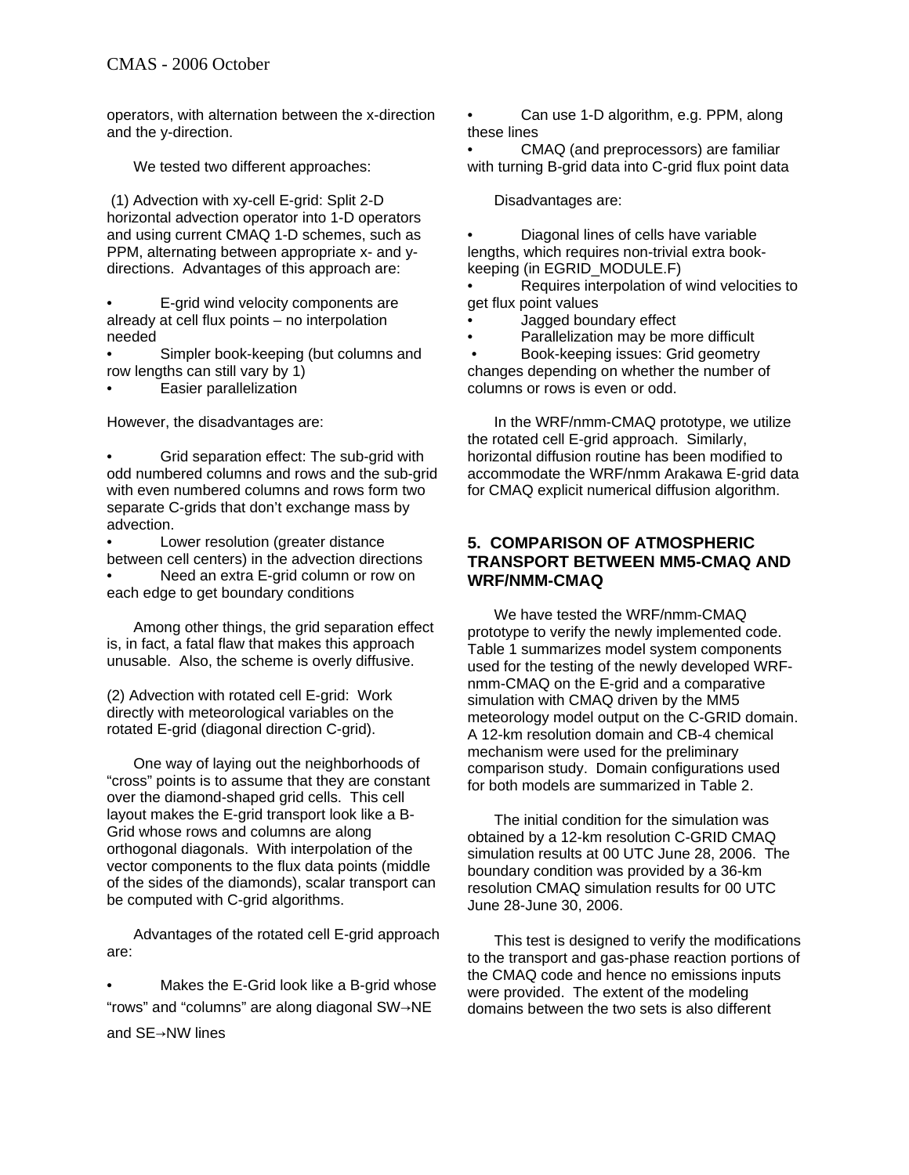operators, with alternation between the x-direction and the y-direction.

We tested two different approaches:

 (1) Advection with xy-cell E-grid: Split 2-D horizontal advection operator into 1-D operators and using current CMAQ 1-D schemes, such as PPM, alternating between appropriate x- and ydirections. Advantages of this approach are:

• E-grid wind velocity components are already at cell flux points – no interpolation needed

• Simpler book-keeping (but columns and row lengths can still vary by 1)

• Easier parallelization

However, the disadvantages are:

• Grid separation effect: The sub-grid with odd numbered columns and rows and the sub-grid with even numbered columns and rows form two separate C-grids that don't exchange mass by advection.

Lower resolution (greater distance between cell centers) in the advection directions Need an extra E-grid column or row on each edge to get boundary conditions

Among other things, the grid separation effect is, in fact, a fatal flaw that makes this approach unusable. Also, the scheme is overly diffusive.

(2) Advection with rotated cell E-grid: Work directly with meteorological variables on the rotated E-grid (diagonal direction C-grid).

One way of laying out the neighborhoods of "cross" points is to assume that they are constant over the diamond-shaped grid cells. This cell layout makes the E-grid transport look like a B-Grid whose rows and columns are along orthogonal diagonals. With interpolation of the vector components to the flux data points (middle of the sides of the diamonds), scalar transport can be computed with C-grid algorithms.

Advantages of the rotated cell E-grid approach are:

Makes the E-Grid look like a B-grid whose "rows" and "columns" are along diagonal SW→NE and SE→NW lines

• Can use 1-D algorithm, e.g. PPM, along these lines

• CMAQ (and preprocessors) are familiar with turning B-grid data into C-grid flux point data

Disadvantages are:

• Diagonal lines of cells have variable lengths, which requires non-trivial extra bookkeeping (in EGRID\_MODULE.F)

• Requires interpolation of wind velocities to get flux point values

• Jagged boundary effect

• Parallelization may be more difficult

 • Book-keeping issues: Grid geometry changes depending on whether the number of columns or rows is even or odd.

In the WRF/nmm-CMAQ prototype, we utilize the rotated cell E-grid approach. Similarly, horizontal diffusion routine has been modified to accommodate the WRF/nmm Arakawa E-grid data for CMAQ explicit numerical diffusion algorithm.

#### **5. COMPARISON OF ATMOSPHERIC TRANSPORT BETWEEN MM5-CMAQ AND WRF/NMM-CMAQ**

We have tested the WRF/nmm-CMAQ prototype to verify the newly implemented code. Table 1 summarizes model system components used for the testing of the newly developed WRFnmm-CMAQ on the E-grid and a comparative simulation with CMAQ driven by the MM5 meteorology model output on the C-GRID domain. A 12-km resolution domain and CB-4 chemical mechanism were used for the preliminary comparison study. Domain configurations used for both models are summarized in Table 2.

The initial condition for the simulation was obtained by a 12-km resolution C-GRID CMAQ simulation results at 00 UTC June 28, 2006. The boundary condition was provided by a 36-km resolution CMAQ simulation results for 00 UTC June 28-June 30, 2006.

This test is designed to verify the modifications to the transport and gas-phase reaction portions of the CMAQ code and hence no emissions inputs were provided. The extent of the modeling domains between the two sets is also different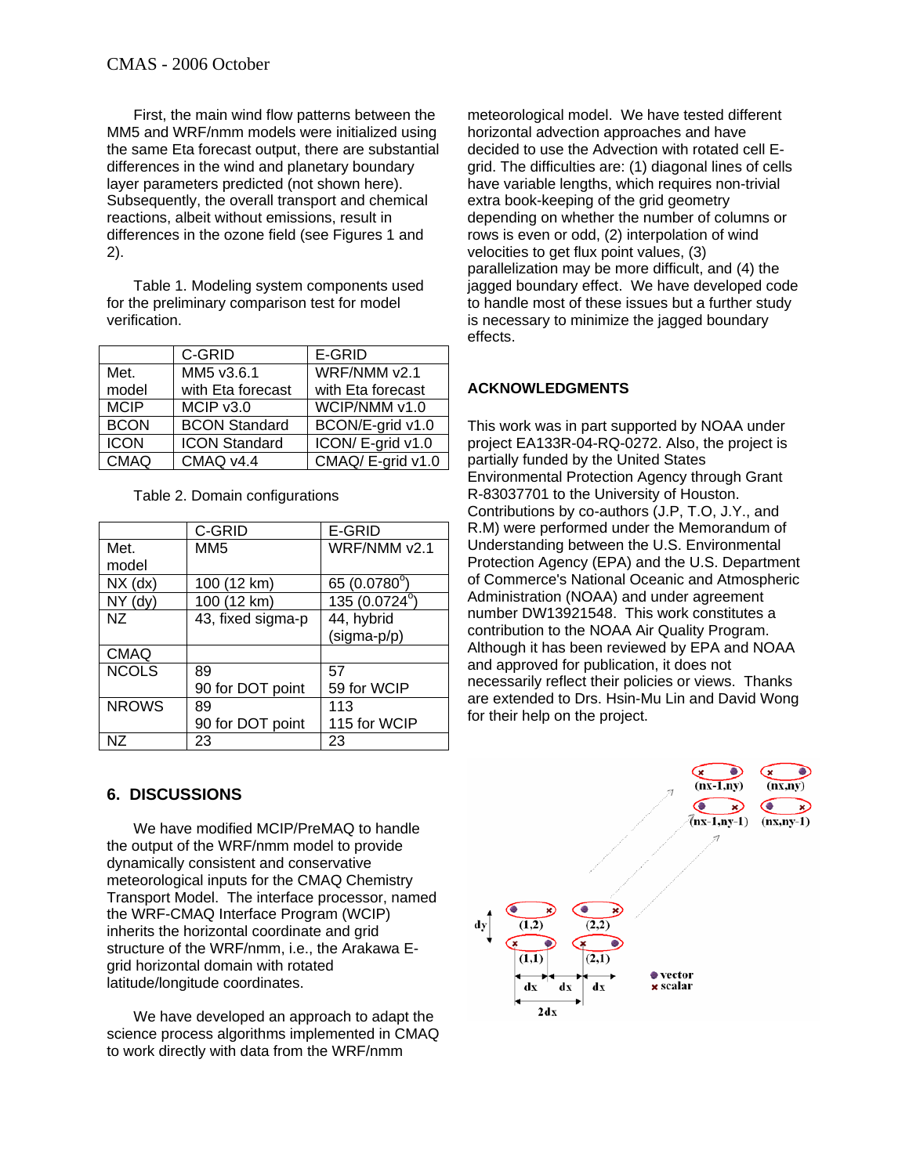First, the main wind flow patterns between the MM5 and WRF/nmm models were initialized using the same Eta forecast output, there are substantial differences in the wind and planetary boundary layer parameters predicted (not shown here). Subsequently, the overall transport and chemical reactions, albeit without emissions, result in differences in the ozone field (see Figures 1 and 2).

Table 1. Modeling system components used for the preliminary comparison test for model verification.

|             | C-GRID               | E-GRID            |
|-------------|----------------------|-------------------|
| Met.        | MM5 v3.6.1           | WRF/NMM v2.1      |
| model       | with Eta forecast    | with Eta forecast |
| <b>MCIP</b> | MCIP v3.0            | WCIP/NMM v1.0     |
| <b>BCON</b> | <b>BCON Standard</b> | BCON/E-grid v1.0  |
| <b>ICON</b> | <b>ICON Standard</b> | ICON/E-grid v1.0  |
| <b>CMAQ</b> | CMAQ v4.4            | CMAQ/E-grid v1.0  |

Table 2. Domain configurations

|              | C-GRID            | E-GRID                |
|--------------|-------------------|-----------------------|
| Met.         | MM <sub>5</sub>   | WRF/NMM v2.1          |
| model        |                   |                       |
| $NX$ (dx)    | 100 (12 km)       | 65 (0.0780°)          |
| $NY$ (dy)    | 100 (12 km)       | $135(0.0724^{\circ})$ |
| NZ           | 43, fixed sigma-p | 44, hybrid            |
|              |                   | (sigma-p/p)           |
| <b>CMAQ</b>  |                   |                       |
| <b>NCOLS</b> | 89                | 57                    |
|              | 90 for DOT point  | 59 for WCIP           |
| <b>NROWS</b> | 89                | 113                   |
|              | 90 for DOT point  | 115 for WCIP          |
| N7           | 23                | 23                    |

# **6. DISCUSSIONS**

We have modified MCIP/PreMAQ to handle the output of the WRF/nmm model to provide dynamically consistent and conservative meteorological inputs for the CMAQ Chemistry Transport Model. The interface processor, named the WRF-CMAQ Interface Program (WCIP) inherits the horizontal coordinate and grid structure of the WRF/nmm, i.e., the Arakawa Egrid horizontal domain with rotated latitude/longitude coordinates.

We have developed an approach to adapt the science process algorithms implemented in CMAQ to work directly with data from the WRF/nmm

meteorological model. We have tested different horizontal advection approaches and have decided to use the Advection with rotated cell Egrid. The difficulties are: (1) diagonal lines of cells have variable lengths, which requires non-trivial extra book-keeping of the grid geometry depending on whether the number of columns or rows is even or odd, (2) interpolation of wind velocities to get flux point values, (3) parallelization may be more difficult, and (4) the jagged boundary effect. We have developed code to handle most of these issues but a further study is necessary to minimize the jagged boundary effects.

# **ACKNOWLEDGMENTS**

This work was in part supported by NOAA under project EA133R-04-RQ-0272. Also, the project is partially funded by the United States Environmental Protection Agency through Grant R-83037701 to the University of Houston. Contributions by co-authors (J.P, T.O, J.Y., and R.M) were performed under the Memorandum of Understanding between the U.S. Environmental Protection Agency (EPA) and the U.S. Department of Commerce's National Oceanic and Atmospheric Administration (NOAA) and under agreement number DW13921548. This work constitutes a contribution to the NOAA Air Quality Program. Although it has been reviewed by EPA and NOAA and approved for publication, it does not necessarily reflect their policies or views. Thanks are extended to Drs. Hsin-Mu Lin and David Wong for their help on the project.

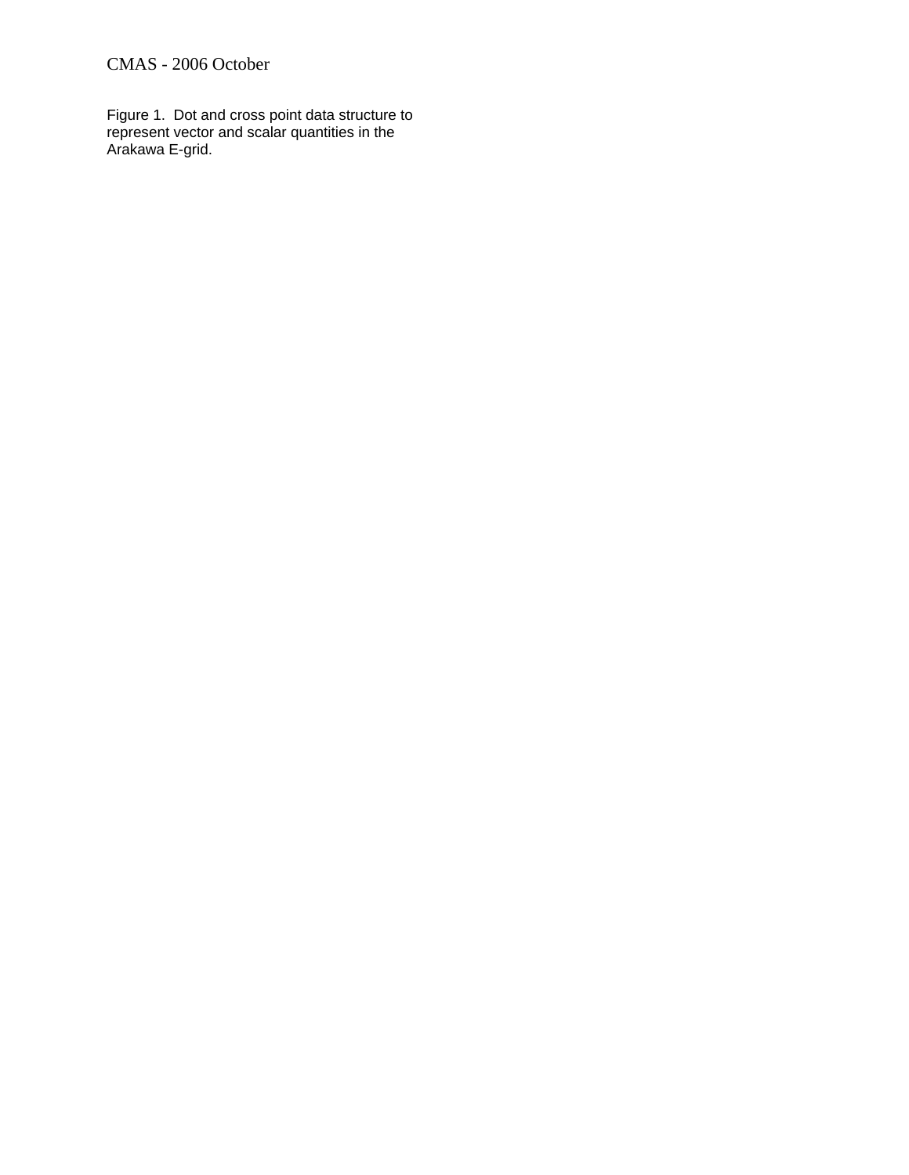# CMAS - 2006 October

Figure 1. Dot and cross point data structure to represent vector and scalar quantities in the Arakawa E-grid.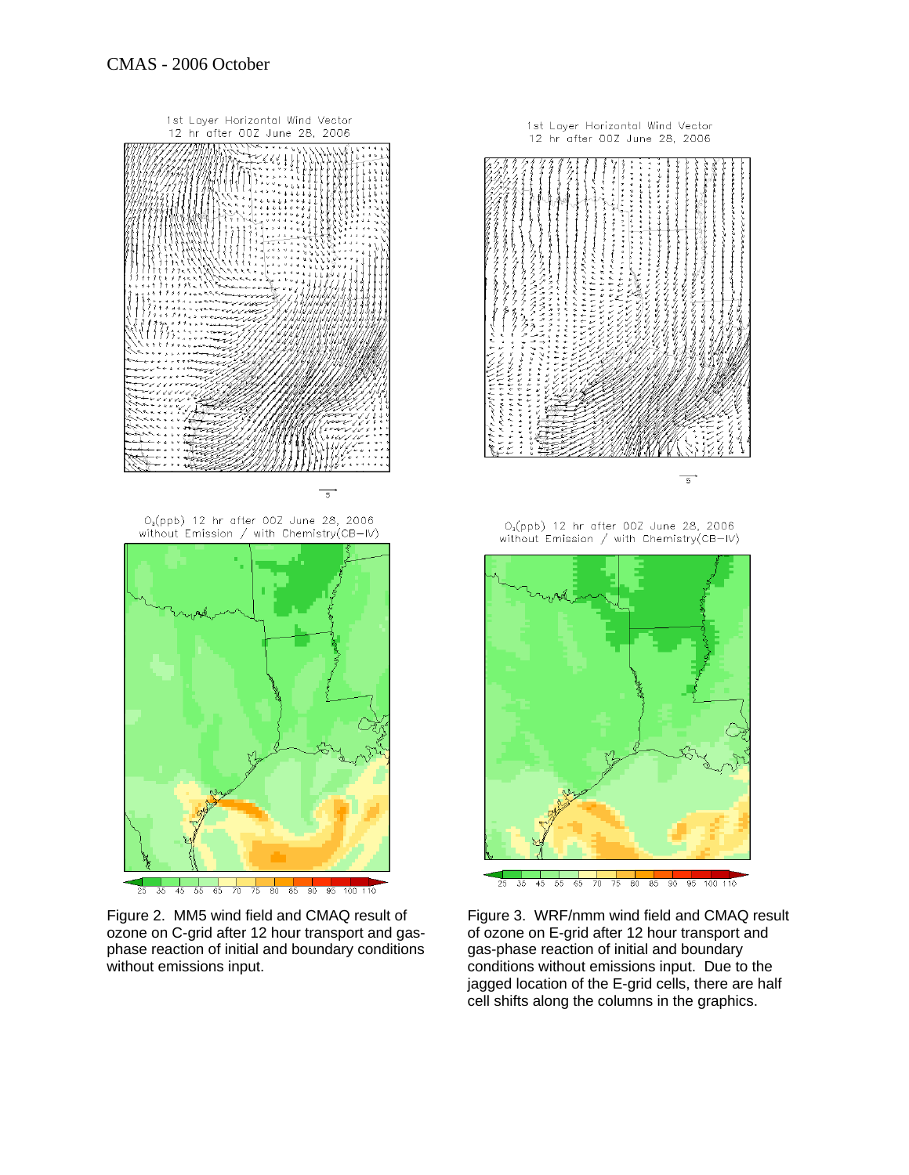

Figure 2. MM5 wind field and CMAQ result of ozone on C-grid after 12 hour transport and gasphase reaction of initial and boundary conditions without emissions input.



Figure 3. WRF/nmm wind field and CMAQ result of ozone on E-grid after 12 hour transport and gas-phase reaction of initial and boundary conditions without emissions input. Due to the jagged location of the E-grid cells, there are half cell shifts along the columns in the graphics.